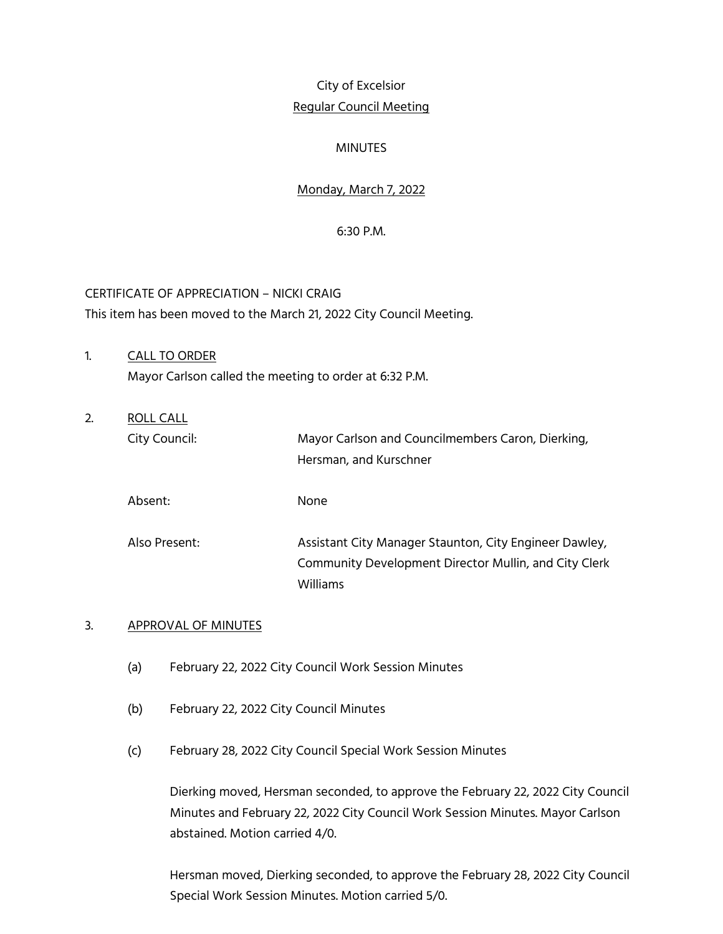# City of Excelsior Regular Council Meeting

# MINUTES

# Monday, March 7, 2022

### 6:30 P.M.

CERTIFICATE OF APPRECIATION – NICKI CRAIG This item has been moved to the March 21, 2022 City Council Meeting.

- 1. CALL TO ORDER Mayor Carlson called the meeting to order at 6:32 P.M.
- 2. ROLL CALL City Council: Mayor Carlson and Councilmembers Caron, Dierking, Hersman, and Kurschner Absent: None

Also Present: Assistant City Manager Staunton, City Engineer Dawley, Community Development Director Mullin, and City Clerk Williams

# 3. APPROVAL OF MINUTES

- (a) February 22, 2022 City Council Work Session Minutes
- (b) February 22, 2022 City Council Minutes
- (c) February 28, 2022 City Council Special Work Session Minutes

Dierking moved, Hersman seconded, to approve the February 22, 2022 City Council Minutes and February 22, 2022 City Council Work Session Minutes. Mayor Carlson abstained. Motion carried 4/0.

Hersman moved, Dierking seconded, to approve the February 28, 2022 City Council Special Work Session Minutes. Motion carried 5/0.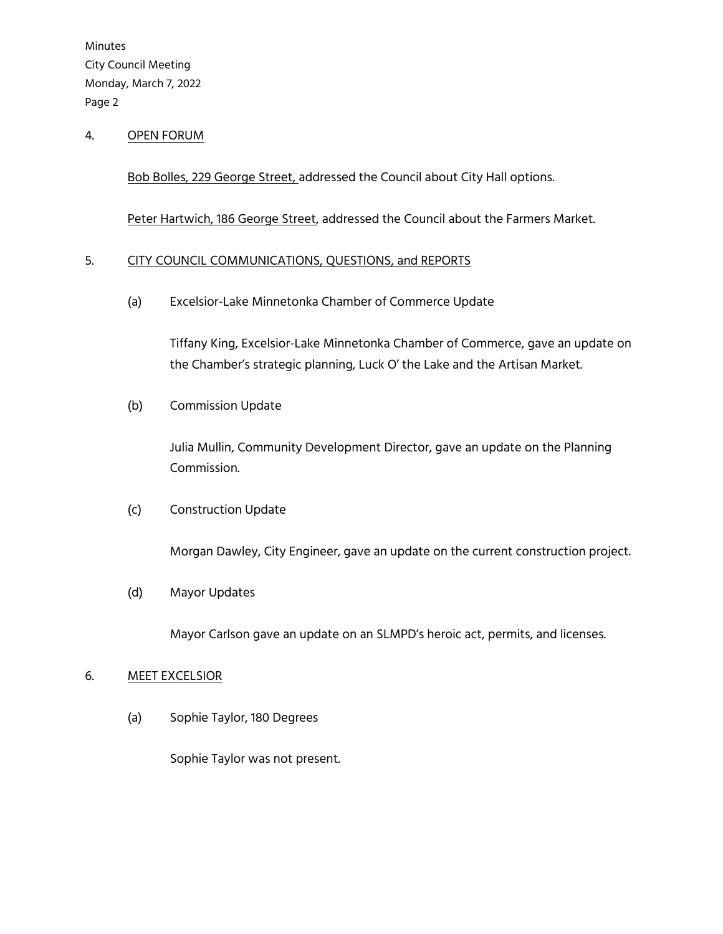### 4. OPEN FORUM

Bob Bolles, 229 George Street, addressed the Council about City Hall options.

Peter Hartwich, 186 George Street, addressed the Council about the Farmers Market.

### 5. CITY COUNCIL COMMUNICATIONS, QUESTIONS, and REPORTS

(a) Excelsior-Lake Minnetonka Chamber of Commerce Update

Tiffany King, Excelsior-Lake Minnetonka Chamber of Commerce, gave an update on the Chamber's strategic planning, Luck O' the Lake and the Artisan Market.

(b) Commission Update

Julia Mullin, Community Development Director, gave an update on the Planning Commission.

# (c) Construction Update

Morgan Dawley, City Engineer, gave an update on the current construction project.

(d) Mayor Updates

Mayor Carlson gave an update on an SLMPD's heroic act, permits, and licenses.

#### 6. MEET EXCELSIOR

(a) Sophie Taylor, 180 Degrees

Sophie Taylor was not present.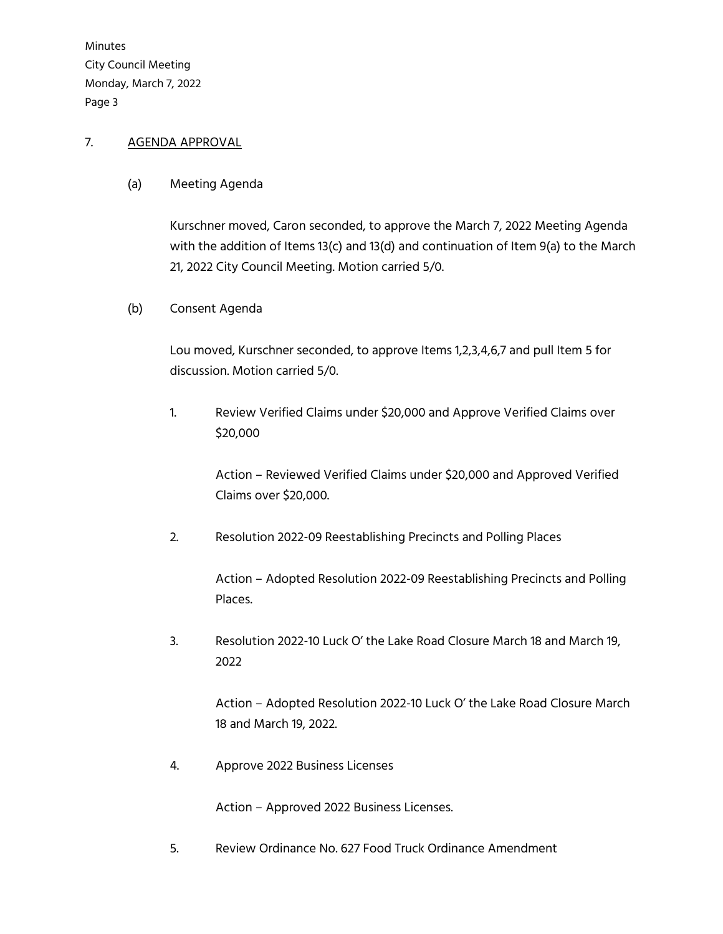# 7. AGENDA APPROVAL

(a) Meeting Agenda

Kurschner moved, Caron seconded, to approve the March 7, 2022 Meeting Agenda with the addition of Items 13(c) and 13(d) and continuation of Item 9(a) to the March 21, 2022 City Council Meeting. Motion carried 5/0.

(b) Consent Agenda

Lou moved, Kurschner seconded, to approve Items 1,2,3,4,6,7 and pull Item 5 for discussion. Motion carried 5/0.

1. Review Verified Claims under \$20,000 and Approve Verified Claims over \$20,000

> Action – Reviewed Verified Claims under \$20,000 and Approved Verified Claims over \$20,000.

2. Resolution 2022-09 Reestablishing Precincts and Polling Places

Action – Adopted Resolution 2022-09 Reestablishing Precincts and Polling Places.

3. Resolution 2022-10 Luck O' the Lake Road Closure March 18 and March 19, 2022

> Action – Adopted Resolution 2022-10 Luck O' the Lake Road Closure March 18 and March 19, 2022.

4. Approve 2022 Business Licenses

Action – Approved 2022 Business Licenses.

5. Review Ordinance No. 627 Food Truck Ordinance Amendment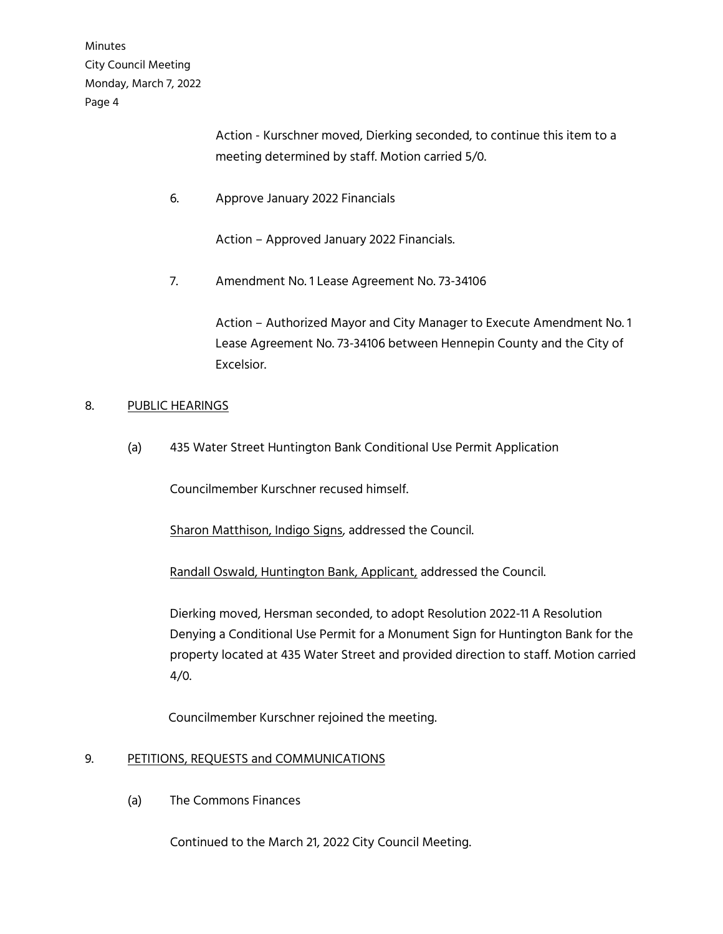> Action - Kurschner moved, Dierking seconded, to continue this item to a meeting determined by staff. Motion carried 5/0.

6. Approve January 2022 Financials

Action – Approved January 2022 Financials.

7. Amendment No. 1 Lease Agreement No. 73-34106

Action – Authorized Mayor and City Manager to Execute Amendment No. 1 Lease Agreement No. 73-34106 between Hennepin County and the City of Excelsior.

### 8. PUBLIC HEARINGS

(a) 435 Water Street Huntington Bank Conditional Use Permit Application

Councilmember Kurschner recused himself.

Sharon Matthison, Indigo Signs, addressed the Council.

Randall Oswald, Huntington Bank, Applicant, addressed the Council.

Dierking moved, Hersman seconded, to adopt Resolution 2022-11 A Resolution Denying a Conditional Use Permit for a Monument Sign for Huntington Bank for the property located at 435 Water Street and provided direction to staff. Motion carried 4/0.

Councilmember Kurschner rejoined the meeting.

# 9. PETITIONS, REQUESTS and COMMUNICATIONS

(a) The Commons Finances

Continued to the March 21, 2022 City Council Meeting.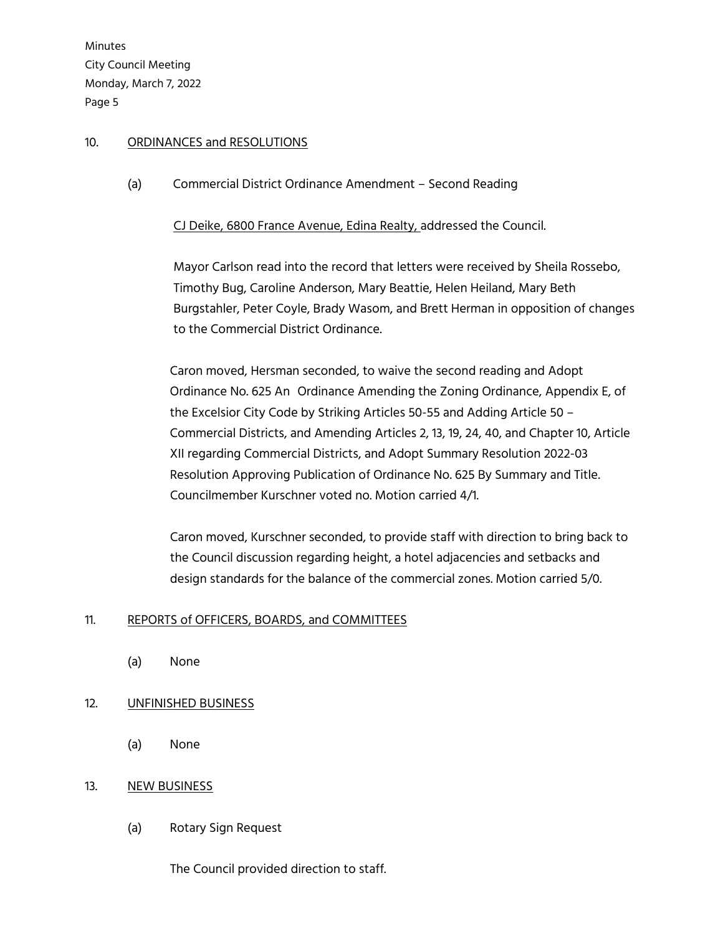### 10. ORDINANCES and RESOLUTIONS

(a) Commercial District Ordinance Amendment – Second Reading

CJ Deike, 6800 France Avenue, Edina Realty, addressed the Council.

Mayor Carlson read into the record that letters were received by Sheila Rossebo, Timothy Bug, Caroline Anderson, Mary Beattie, Helen Heiland, Mary Beth Burgstahler, Peter Coyle, Brady Wasom, and Brett Herman in opposition of changes to the Commercial District Ordinance.

Caron moved, Hersman seconded, to waive the second reading and Adopt Ordinance No. 625 An Ordinance Amending the Zoning Ordinance, Appendix E, of the Excelsior City Code by Striking Articles 50-55 and Adding Article 50 – Commercial Districts, and Amending Articles 2, 13, 19, 24, 40, and Chapter 10, Article XII regarding Commercial Districts, and Adopt Summary Resolution 2022-03 Resolution Approving Publication of Ordinance No. 625 By Summary and Title. Councilmember Kurschner voted no. Motion carried 4/1.

Caron moved, Kurschner seconded, to provide staff with direction to bring back to the Council discussion regarding height, a hotel adjacencies and setbacks and design standards for the balance of the commercial zones. Motion carried 5/0.

# 11. REPORTS of OFFICERS, BOARDS, and COMMITTEES

(a) None

# 12. UNFINISHED BUSINESS

(a) None

# 13. NEW BUSINESS

(a) Rotary Sign Request

The Council provided direction to staff.